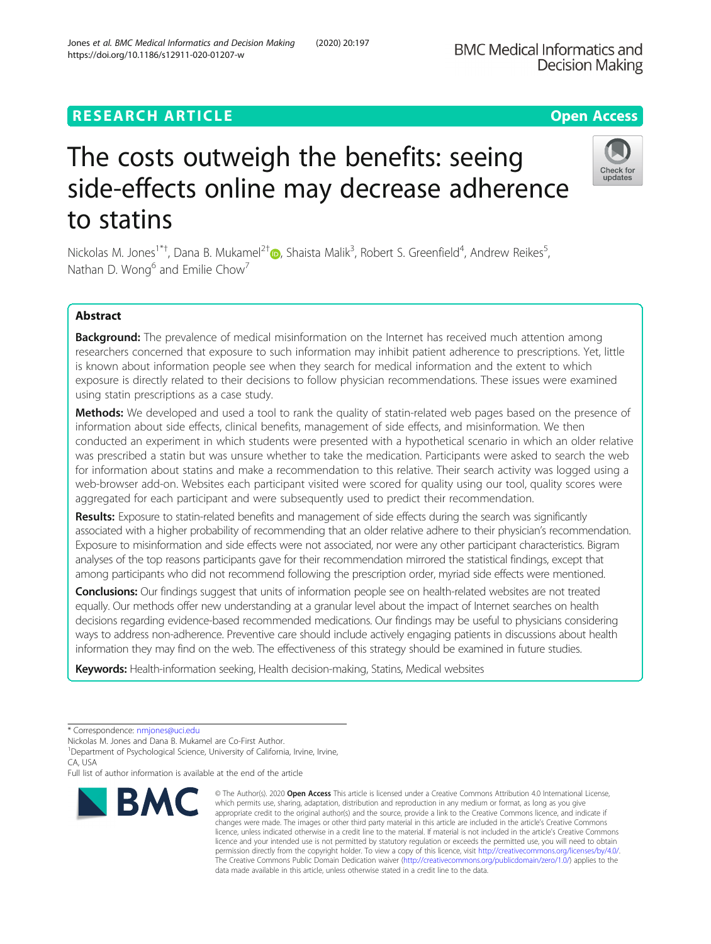## **RESEARCH ARTICLE Example 2014 12:30 The Contract of Contract ACCESS**

# The costs outweigh the benefits: seeing side-effects online may decrease adherence to statins

Nickolas M. Jones<sup>1\*[†](http://orcid.org/0000-0003-4147-5785)</sup>, Dana B. Mukamel<sup>2†</sup>®, Shaista Malik<sup>3</sup>, Robert S. Greenfield<sup>4</sup>, Andrew Reikes<sup>5</sup> , Nathan D. Wong $^6$  and Emilie Chow<sup>7</sup>

## Abstract

Background: The prevalence of medical misinformation on the Internet has received much attention among researchers concerned that exposure to such information may inhibit patient adherence to prescriptions. Yet, little is known about information people see when they search for medical information and the extent to which exposure is directly related to their decisions to follow physician recommendations. These issues were examined using statin prescriptions as a case study.

Methods: We developed and used a tool to rank the quality of statin-related web pages based on the presence of information about side effects, clinical benefits, management of side effects, and misinformation. We then conducted an experiment in which students were presented with a hypothetical scenario in which an older relative was prescribed a statin but was unsure whether to take the medication. Participants were asked to search the web for information about statins and make a recommendation to this relative. Their search activity was logged using a web-browser add-on. Websites each participant visited were scored for quality using our tool, quality scores were aggregated for each participant and were subsequently used to predict their recommendation.

Results: Exposure to statin-related benefits and management of side effects during the search was significantly associated with a higher probability of recommending that an older relative adhere to their physician's recommendation. Exposure to misinformation and side effects were not associated, nor were any other participant characteristics. Bigram analyses of the top reasons participants gave for their recommendation mirrored the statistical findings, except that among participants who did not recommend following the prescription order, myriad side effects were mentioned.

Conclusions: Our findings suggest that units of information people see on health-related websites are not treated equally. Our methods offer new understanding at a granular level about the impact of Internet searches on health decisions regarding evidence-based recommended medications. Our findings may be useful to physicians considering ways to address non-adherence. Preventive care should include actively engaging patients in discussions about health information they may find on the web. The effectiveness of this strategy should be examined in future studies.

Keywords: Health-information seeking, Health decision-making, Statins, Medical websites



© The Author(s), 2020 **Open Access** This article is licensed under a Creative Commons Attribution 4.0 International License, which permits use, sharing, adaptation, distribution and reproduction in any medium or format, as long as you give





<sup>\*</sup> Correspondence: [nmjones@uci.edu](mailto:nmjones@uci.edu)

Nickolas M. Jones and Dana B. Mukamel are Co-First Author.

<sup>&</sup>lt;sup>1</sup>Department of Psychological Science, University of California, Irvine, Irvine, CA, USA

Full list of author information is available at the end of the article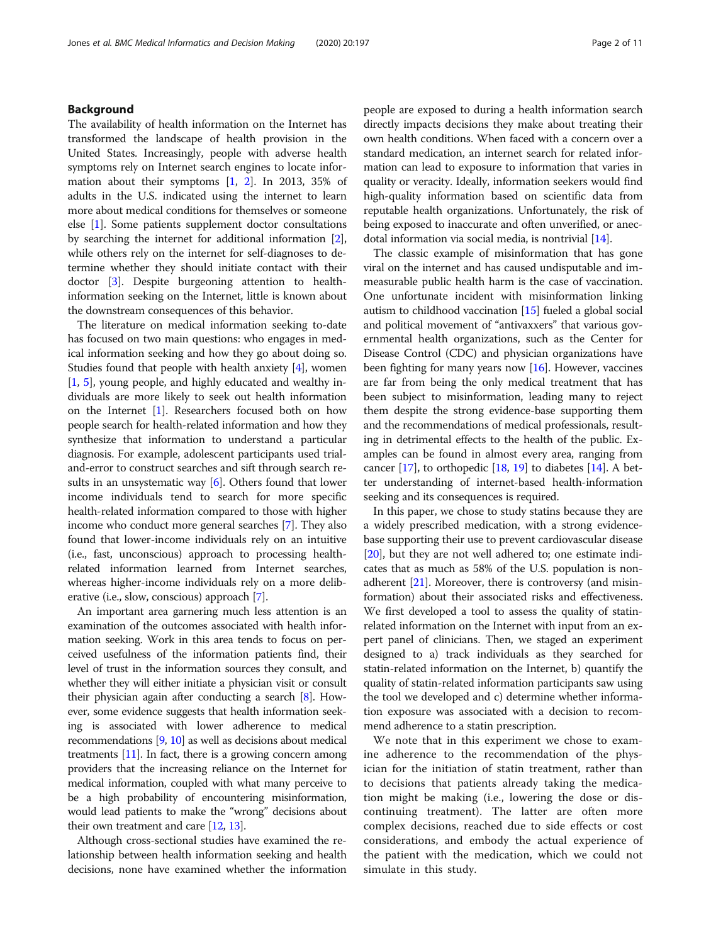#### Background

The availability of health information on the Internet has transformed the landscape of health provision in the United States. Increasingly, people with adverse health symptoms rely on Internet search engines to locate information about their symptoms [\[1](#page-9-0), [2](#page-9-0)]. In 2013, 35% of adults in the U.S. indicated using the internet to learn more about medical conditions for themselves or someone else [\[1\]](#page-9-0). Some patients supplement doctor consultations by searching the internet for additional information [[2](#page-9-0)], while others rely on the internet for self-diagnoses to determine whether they should initiate contact with their doctor [[3\]](#page-9-0). Despite burgeoning attention to healthinformation seeking on the Internet, little is known about the downstream consequences of this behavior.

The literature on medical information seeking to-date has focused on two main questions: who engages in medical information seeking and how they go about doing so. Studies found that people with health anxiety [[4\]](#page-9-0), women [[1,](#page-9-0) [5\]](#page-9-0), young people, and highly educated and wealthy individuals are more likely to seek out health information on the Internet [[1\]](#page-9-0). Researchers focused both on how people search for health-related information and how they synthesize that information to understand a particular diagnosis. For example, adolescent participants used trialand-error to construct searches and sift through search results in an unsystematic way  $[6]$  $[6]$ . Others found that lower income individuals tend to search for more specific health-related information compared to those with higher income who conduct more general searches [\[7\]](#page-9-0). They also found that lower-income individuals rely on an intuitive (i.e., fast, unconscious) approach to processing healthrelated information learned from Internet searches, whereas higher-income individuals rely on a more deliberative (i.e., slow, conscious) approach [[7](#page-9-0)].

An important area garnering much less attention is an examination of the outcomes associated with health information seeking. Work in this area tends to focus on perceived usefulness of the information patients find, their level of trust in the information sources they consult, and whether they will either initiate a physician visit or consult their physician again after conducting a search [\[8\]](#page-9-0). However, some evidence suggests that health information seeking is associated with lower adherence to medical recommendations [\[9,](#page-9-0) [10](#page-9-0)] as well as decisions about medical treatments [\[11\]](#page-9-0). In fact, there is a growing concern among providers that the increasing reliance on the Internet for medical information, coupled with what many perceive to be a high probability of encountering misinformation, would lead patients to make the "wrong" decisions about their own treatment and care [[12,](#page-9-0) [13](#page-9-0)].

Although cross-sectional studies have examined the relationship between health information seeking and health decisions, none have examined whether the information

people are exposed to during a health information search directly impacts decisions they make about treating their own health conditions. When faced with a concern over a standard medication, an internet search for related information can lead to exposure to information that varies in quality or veracity. Ideally, information seekers would find high-quality information based on scientific data from reputable health organizations. Unfortunately, the risk of being exposed to inaccurate and often unverified, or anecdotal information via social media, is nontrivial [\[14\]](#page-9-0).

The classic example of misinformation that has gone viral on the internet and has caused undisputable and immeasurable public health harm is the case of vaccination. One unfortunate incident with misinformation linking autism to childhood vaccination [[15](#page-9-0)] fueled a global social and political movement of "antivaxxers" that various governmental health organizations, such as the Center for Disease Control (CDC) and physician organizations have been fighting for many years now  $[16]$  $[16]$  $[16]$ . However, vaccines are far from being the only medical treatment that has been subject to misinformation, leading many to reject them despite the strong evidence-base supporting them and the recommendations of medical professionals, resulting in detrimental effects to the health of the public. Examples can be found in almost every area, ranging from cancer  $[17]$ , to orthopedic  $[18, 19]$  $[18, 19]$  $[18, 19]$  $[18, 19]$  to diabetes  $[14]$ . A better understanding of internet-based health-information seeking and its consequences is required.

In this paper, we chose to study statins because they are a widely prescribed medication, with a strong evidencebase supporting their use to prevent cardiovascular disease [[20](#page-10-0)], but they are not well adhered to; one estimate indicates that as much as 58% of the U.S. population is nonadherent [\[21\]](#page-10-0). Moreover, there is controversy (and misinformation) about their associated risks and effectiveness. We first developed a tool to assess the quality of statinrelated information on the Internet with input from an expert panel of clinicians. Then, we staged an experiment designed to a) track individuals as they searched for statin-related information on the Internet, b) quantify the quality of statin-related information participants saw using the tool we developed and c) determine whether information exposure was associated with a decision to recommend adherence to a statin prescription.

We note that in this experiment we chose to examine adherence to the recommendation of the physician for the initiation of statin treatment, rather than to decisions that patients already taking the medication might be making (i.e., lowering the dose or discontinuing treatment). The latter are often more complex decisions, reached due to side effects or cost considerations, and embody the actual experience of the patient with the medication, which we could not simulate in this study.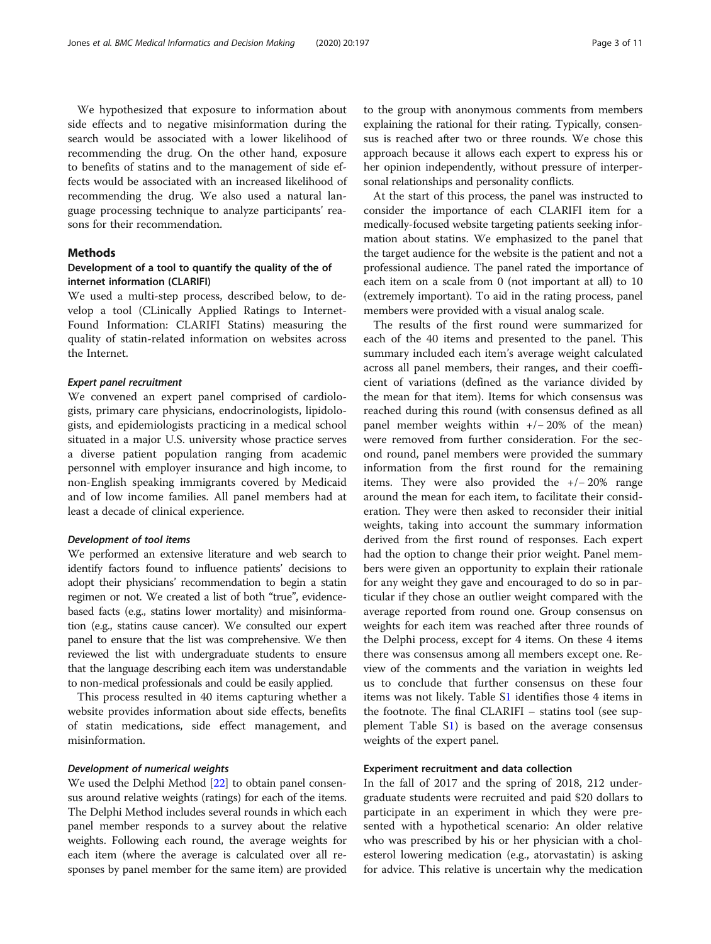We hypothesized that exposure to information about side effects and to negative misinformation during the search would be associated with a lower likelihood of recommending the drug. On the other hand, exposure to benefits of statins and to the management of side effects would be associated with an increased likelihood of recommending the drug. We also used a natural language processing technique to analyze participants' reasons for their recommendation.

#### Methods

#### Development of a tool to quantify the quality of the of internet information (CLARIFI)

We used a multi-step process, described below, to develop a tool (CLinically Applied Ratings to Internet-Found Information: CLARIFI Statins) measuring the quality of statin-related information on websites across the Internet.

#### Expert panel recruitment

We convened an expert panel comprised of cardiologists, primary care physicians, endocrinologists, lipidologists, and epidemiologists practicing in a medical school situated in a major U.S. university whose practice serves a diverse patient population ranging from academic personnel with employer insurance and high income, to non-English speaking immigrants covered by Medicaid and of low income families. All panel members had at least a decade of clinical experience.

#### Development of tool items

We performed an extensive literature and web search to identify factors found to influence patients' decisions to adopt their physicians' recommendation to begin a statin regimen or not. We created a list of both "true", evidencebased facts (e.g., statins lower mortality) and misinformation (e.g., statins cause cancer). We consulted our expert panel to ensure that the list was comprehensive. We then reviewed the list with undergraduate students to ensure that the language describing each item was understandable to non-medical professionals and could be easily applied.

This process resulted in 40 items capturing whether a website provides information about side effects, benefits of statin medications, side effect management, and misinformation.

#### Development of numerical weights

We used the Delphi Method [[22\]](#page-10-0) to obtain panel consensus around relative weights (ratings) for each of the items. The Delphi Method includes several rounds in which each panel member responds to a survey about the relative weights. Following each round, the average weights for each item (where the average is calculated over all responses by panel member for the same item) are provided

to the group with anonymous comments from members explaining the rational for their rating. Typically, consensus is reached after two or three rounds. We chose this approach because it allows each expert to express his or her opinion independently, without pressure of interpersonal relationships and personality conflicts.

At the start of this process, the panel was instructed to consider the importance of each CLARIFI item for a medically-focused website targeting patients seeking information about statins. We emphasized to the panel that the target audience for the website is the patient and not a professional audience. The panel rated the importance of each item on a scale from 0 (not important at all) to 10 (extremely important). To aid in the rating process, panel members were provided with a visual analog scale.

The results of the first round were summarized for each of the 40 items and presented to the panel. This summary included each item's average weight calculated across all panel members, their ranges, and their coefficient of variations (defined as the variance divided by the mean for that item). Items for which consensus was reached during this round (with consensus defined as all panel member weights within +/− 20% of the mean) were removed from further consideration. For the second round, panel members were provided the summary information from the first round for the remaining items. They were also provided the +/− 20% range around the mean for each item, to facilitate their consideration. They were then asked to reconsider their initial weights, taking into account the summary information derived from the first round of responses. Each expert had the option to change their prior weight. Panel members were given an opportunity to explain their rationale for any weight they gave and encouraged to do so in particular if they chose an outlier weight compared with the average reported from round one. Group consensus on weights for each item was reached after three rounds of the Delphi process, except for 4 items. On these 4 items there was consensus among all members except one. Review of the comments and the variation in weights led us to conclude that further consensus on these four items was not likely. Table S[1](#page-9-0) identifies those 4 items in the footnote. The final CLARIFI – statins tool (see supplement Table [S1\)](#page-9-0) is based on the average consensus weights of the expert panel.

#### Experiment recruitment and data collection

In the fall of 2017 and the spring of 2018, 212 undergraduate students were recruited and paid \$20 dollars to participate in an experiment in which they were presented with a hypothetical scenario: An older relative who was prescribed by his or her physician with a cholesterol lowering medication (e.g., atorvastatin) is asking for advice. This relative is uncertain why the medication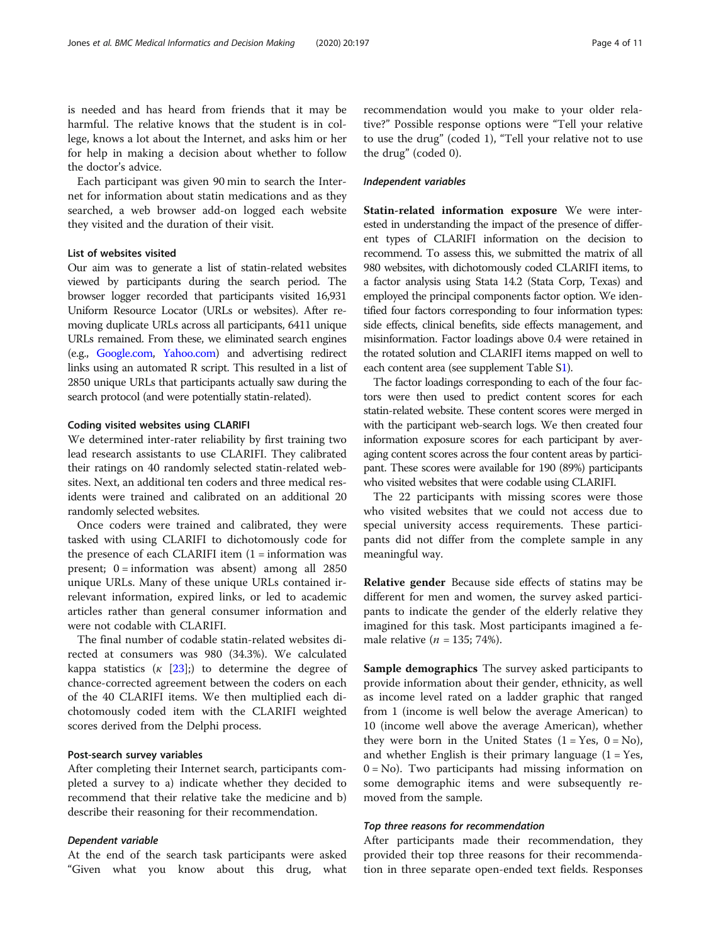is needed and has heard from friends that it may be harmful. The relative knows that the student is in college, knows a lot about the Internet, and asks him or her for help in making a decision about whether to follow the doctor's advice.

Each participant was given 90 min to search the Internet for information about statin medications and as they searched, a web browser add-on logged each website they visited and the duration of their visit.

#### List of websites visited

Our aim was to generate a list of statin-related websites viewed by participants during the search period. The browser logger recorded that participants visited 16,931 Uniform Resource Locator (URLs or websites). After removing duplicate URLs across all participants, 6411 unique URLs remained. From these, we eliminated search engines (e.g., [Google.com,](http://google.com) [Yahoo.com\)](http://yahoo.com) and advertising redirect links using an automated R script. This resulted in a list of 2850 unique URLs that participants actually saw during the search protocol (and were potentially statin-related).

#### Coding visited websites using CLARIFI

We determined inter-rater reliability by first training two lead research assistants to use CLARIFI. They calibrated their ratings on 40 randomly selected statin-related websites. Next, an additional ten coders and three medical residents were trained and calibrated on an additional 20 randomly selected websites.

Once coders were trained and calibrated, they were tasked with using CLARIFI to dichotomously code for the presence of each CLARIFI item  $(1 = information)$  was present;  $0 =$  information was absent) among all 2850 unique URLs. Many of these unique URLs contained irrelevant information, expired links, or led to academic articles rather than general consumer information and were not codable with CLARIFI.

The final number of codable statin-related websites directed at consumers was 980 (34.3%). We calculated kappa statistics  $(\kappa \t{23};)$  to determine the degree of chance-corrected agreement between the coders on each of the 40 CLARIFI items. We then multiplied each dichotomously coded item with the CLARIFI weighted scores derived from the Delphi process.

#### Post-search survey variables

After completing their Internet search, participants completed a survey to a) indicate whether they decided to recommend that their relative take the medicine and b) describe their reasoning for their recommendation.

#### Dependent variable

At the end of the search task participants were asked "Given what you know about this drug, what recommendation would you make to your older relative?" Possible response options were "Tell your relative to use the drug" (coded 1), "Tell your relative not to use the drug" (coded 0).

#### Independent variables

Statin-related information exposure We were interested in understanding the impact of the presence of different types of CLARIFI information on the decision to recommend. To assess this, we submitted the matrix of all 980 websites, with dichotomously coded CLARIFI items, to a factor analysis using Stata 14.2 (Stata Corp, Texas) and employed the principal components factor option. We identified four factors corresponding to four information types: side effects, clinical benefits, side effects management, and misinformation. Factor loadings above 0.4 were retained in the rotated solution and CLARIFI items mapped on well to each content area (see supplement Table [S1](#page-9-0)).

The factor loadings corresponding to each of the four factors were then used to predict content scores for each statin-related website. These content scores were merged in with the participant web-search logs. We then created four information exposure scores for each participant by averaging content scores across the four content areas by participant. These scores were available for 190 (89%) participants who visited websites that were codable using CLARIFI.

The 22 participants with missing scores were those who visited websites that we could not access due to special university access requirements. These participants did not differ from the complete sample in any meaningful way.

Relative gender Because side effects of statins may be different for men and women, the survey asked participants to indicate the gender of the elderly relative they imagined for this task. Most participants imagined a female relative ( $n = 135$ ; 74%).

Sample demographics The survey asked participants to provide information about their gender, ethnicity, as well as income level rated on a ladder graphic that ranged from 1 (income is well below the average American) to 10 (income well above the average American), whether they were born in the United States  $(1 = Yes, 0 = No)$ , and whether English is their primary language  $(1 = Yes,$  $0 = No$ ). Two participants had missing information on some demographic items and were subsequently removed from the sample.

#### Top three reasons for recommendation

After participants made their recommendation, they provided their top three reasons for their recommendation in three separate open-ended text fields. Responses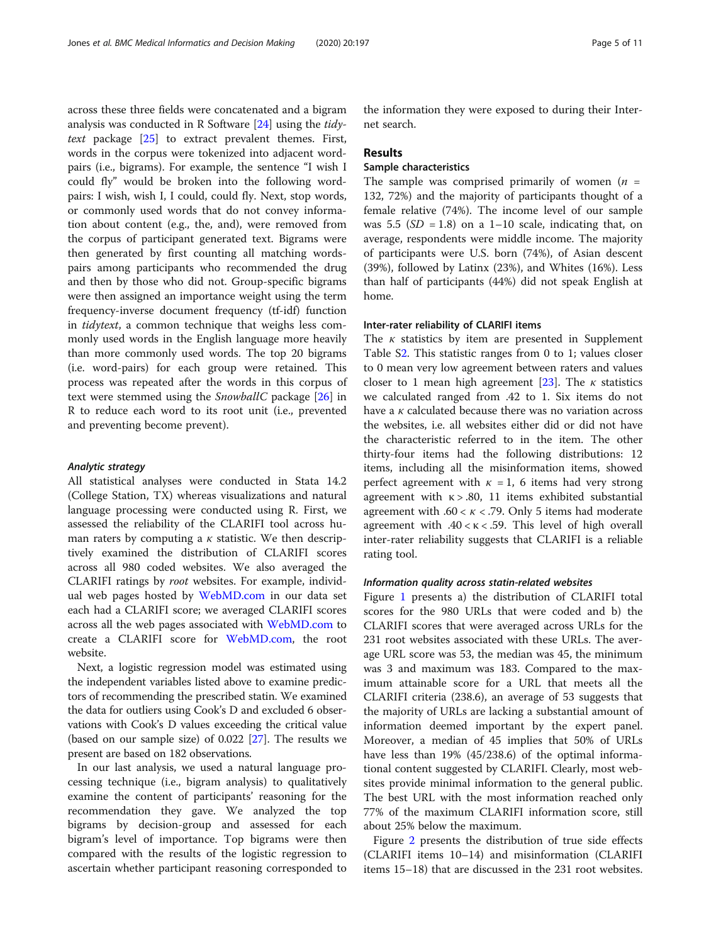across these three fields were concatenated and a bigram analysis was conducted in R Software [\[24](#page-10-0)] using the tidytext package [\[25\]](#page-10-0) to extract prevalent themes. First, words in the corpus were tokenized into adjacent wordpairs (i.e., bigrams). For example, the sentence "I wish I could fly" would be broken into the following wordpairs: I wish, wish I, I could, could fly. Next, stop words, or commonly used words that do not convey information about content (e.g., the, and), were removed from the corpus of participant generated text. Bigrams were then generated by first counting all matching wordspairs among participants who recommended the drug and then by those who did not. Group-specific bigrams were then assigned an importance weight using the term frequency-inverse document frequency (tf-idf) function in tidytext, a common technique that weighs less commonly used words in the English language more heavily than more commonly used words. The top 20 bigrams (i.e. word-pairs) for each group were retained. This process was repeated after the words in this corpus of text were stemmed using the SnowballC package [\[26](#page-10-0)] in R to reduce each word to its root unit (i.e., prevented and preventing become prevent).

#### Analytic strategy

All statistical analyses were conducted in Stata 14.2 (College Station, TX) whereas visualizations and natural language processing were conducted using R. First, we assessed the reliability of the CLARIFI tool across human raters by computing a  $\kappa$  statistic. We then descriptively examined the distribution of CLARIFI scores across all 980 coded websites. We also averaged the CLARIFI ratings by root websites. For example, individual web pages hosted by [WebMD.com](http://webmd.com) in our data set each had a CLARIFI score; we averaged CLARIFI scores across all the web pages associated with [WebMD.com](http://webmd.com) to create a CLARIFI score for [WebMD.com,](http://WebMD.com) the root website.

Next, a logistic regression model was estimated using the independent variables listed above to examine predictors of recommending the prescribed statin. We examined the data for outliers using Cook's D and excluded 6 observations with Cook's D values exceeding the critical value (based on our sample size) of 0.022 [\[27\]](#page-10-0). The results we present are based on 182 observations.

In our last analysis, we used a natural language processing technique (i.e., bigram analysis) to qualitatively examine the content of participants' reasoning for the recommendation they gave. We analyzed the top bigrams by decision-group and assessed for each bigram's level of importance. Top bigrams were then compared with the results of the logistic regression to ascertain whether participant reasoning corresponded to

the information they were exposed to during their Internet search.

#### Results

### Sample characteristics

The sample was comprised primarily of women  $(n =$ 132, 72%) and the majority of participants thought of a female relative (74%). The income level of our sample was 5.5 ( $SD = 1.8$ ) on a 1–10 scale, indicating that, on average, respondents were middle income. The majority of participants were U.S. born (74%), of Asian descent (39%), followed by Latinx (23%), and Whites (16%). Less than half of participants (44%) did not speak English at home.

#### Inter-rater reliability of CLARIFI items

The  $\kappa$  statistics by item are presented in Supplement Table [S2](#page-9-0). This statistic ranges from 0 to 1; values closer to 0 mean very low agreement between raters and values closer to 1 mean high agreement [\[23](#page-10-0)]. The  $\kappa$  statistics we calculated ranged from .42 to 1. Six items do not have a  $\kappa$  calculated because there was no variation across the websites, i.e. all websites either did or did not have the characteristic referred to in the item. The other thirty-four items had the following distributions: 12 items, including all the misinformation items, showed perfect agreement with  $\kappa = 1$ , 6 items had very strong agreement with  $κ$  > .80, 11 items exhibited substantial agreement with .60 <  $\kappa$  < .79. Only 5 items had moderate agreement with  $.40 < \kappa < .59$ . This level of high overall inter-rater reliability suggests that CLARIFI is a reliable rating tool.

#### Information quality across statin-related websites

Figure [1](#page-5-0) presents a) the distribution of CLARIFI total scores for the 980 URLs that were coded and b) the CLARIFI scores that were averaged across URLs for the 231 root websites associated with these URLs. The average URL score was 53, the median was 45, the minimum was 3 and maximum was 183. Compared to the maximum attainable score for a URL that meets all the CLARIFI criteria (238.6), an average of 53 suggests that the majority of URLs are lacking a substantial amount of information deemed important by the expert panel. Moreover, a median of 45 implies that 50% of URLs have less than 19% (45/238.6) of the optimal informational content suggested by CLARIFI. Clearly, most websites provide minimal information to the general public. The best URL with the most information reached only 77% of the maximum CLARIFI information score, still about 25% below the maximum.

Figure [2](#page-5-0) presents the distribution of true side effects (CLARIFI items 10–14) and misinformation (CLARIFI items 15–18) that are discussed in the 231 root websites.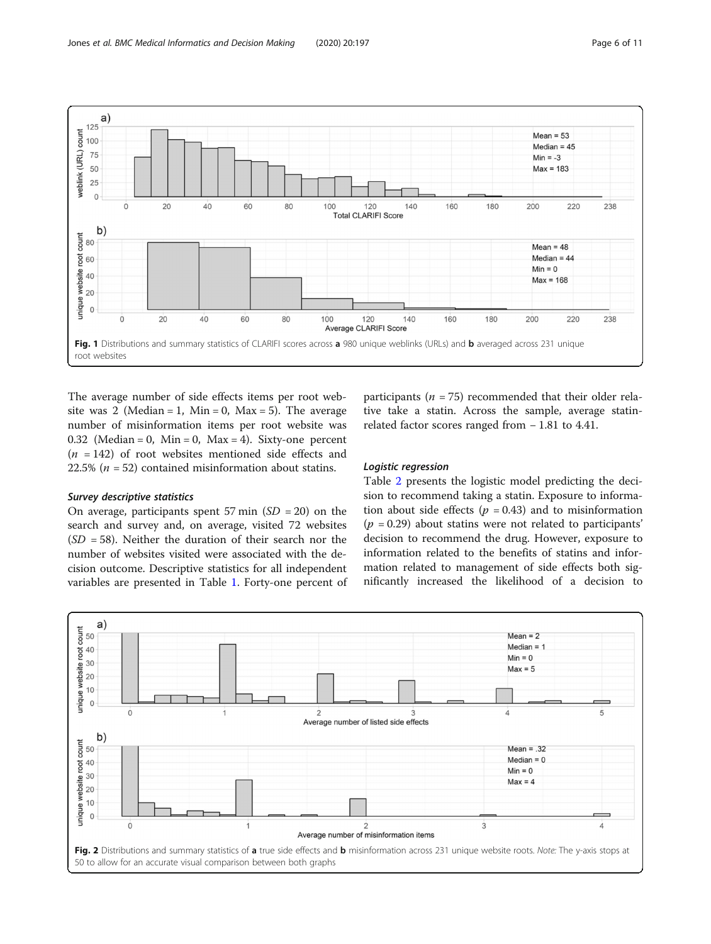<span id="page-5-0"></span>

The average number of side effects items per root website was 2 (Median = 1, Min = 0, Max = 5). The average number of misinformation items per root website was 0.32 (Median = 0, Min = 0, Max = 4). Sixty-one percent  $(n = 142)$  of root websites mentioned side effects and 22.5% ( $n = 52$ ) contained misinformation about statins.

#### Survey descriptive statistics

On average, participants spent 57 min  $(SD = 20)$  on the search and survey and, on average, visited 72 websites  $(SD = 58)$ . Neither the duration of their search nor the number of websites visited were associated with the decision outcome. Descriptive statistics for all independent variables are presented in Table [1.](#page-6-0) Forty-one percent of

participants ( $n = 75$ ) recommended that their older relative take a statin. Across the sample, average statinrelated factor scores ranged from − 1.81 to 4.41.

#### Logistic regression

Table [2](#page-7-0) presents the logistic model predicting the decision to recommend taking a statin. Exposure to information about side effects ( $p = 0.43$ ) and to misinformation  $(p = 0.29)$  about statins were not related to participants' decision to recommend the drug. However, exposure to information related to the benefits of statins and information related to management of side effects both significantly increased the likelihood of a decision to

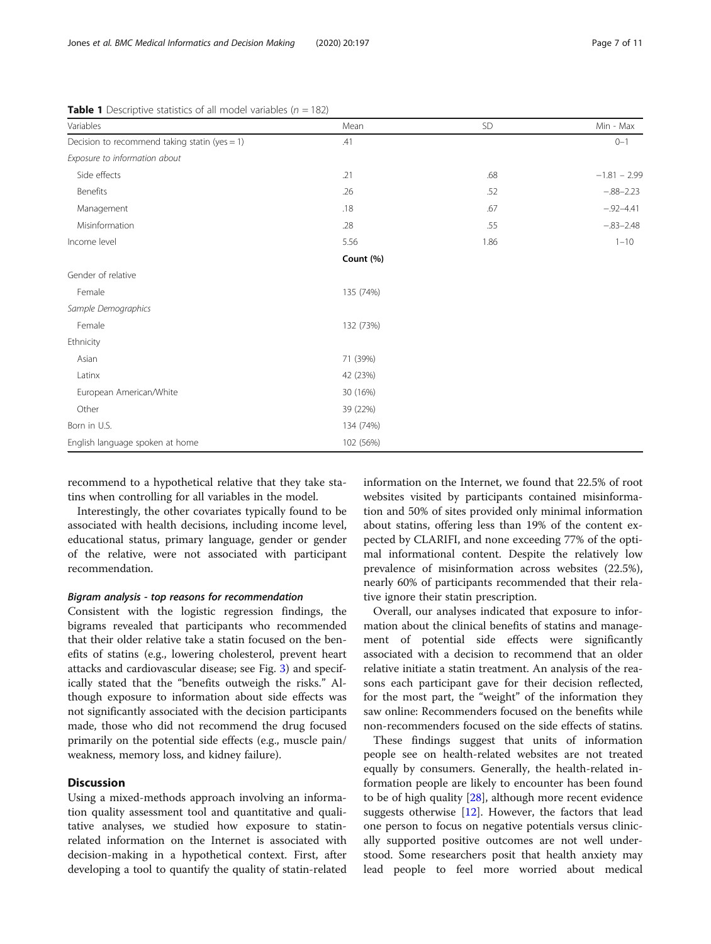| Variables                                        | Mean      | SD   | Min - Max      |
|--------------------------------------------------|-----------|------|----------------|
| Decision to recommend taking statin (yes = $1$ ) | .41       |      | $0 - 1$        |
| Exposure to information about                    |           |      |                |
| Side effects                                     | .21       | .68  | $-1.81 - 2.99$ |
| Benefits                                         | .26       | .52  | $-.88 - 2.23$  |
| Management                                       | .18       | .67  | $-.92 - 4.41$  |
| Misinformation                                   | .28       | .55  | $-.83 - 2.48$  |
| Income level                                     | 5.56      | 1.86 | $1 - 10$       |
|                                                  | Count (%) |      |                |
| Gender of relative                               |           |      |                |
| Female                                           | 135 (74%) |      |                |
| Sample Demographics                              |           |      |                |
| Female                                           | 132 (73%) |      |                |
| Ethnicity                                        |           |      |                |
| Asian                                            | 71 (39%)  |      |                |
| Latinx                                           | 42 (23%)  |      |                |
| European American/White                          | 30 (16%)  |      |                |
| Other                                            | 39 (22%)  |      |                |
| Born in U.S.                                     | 134 (74%) |      |                |
| English language spoken at home                  | 102 (56%) |      |                |

<span id="page-6-0"></span>**Table 1** Descriptive statistics of all model variables ( $n = 182$ )

recommend to a hypothetical relative that they take statins when controlling for all variables in the model.

Interestingly, the other covariates typically found to be associated with health decisions, including income level, educational status, primary language, gender or gender of the relative, were not associated with participant recommendation.

#### Bigram analysis - top reasons for recommendation

Consistent with the logistic regression findings, the bigrams revealed that participants who recommended that their older relative take a statin focused on the benefits of statins (e.g., lowering cholesterol, prevent heart attacks and cardiovascular disease; see Fig. [3](#page-7-0)) and specifically stated that the "benefits outweigh the risks." Although exposure to information about side effects was not significantly associated with the decision participants made, those who did not recommend the drug focused primarily on the potential side effects (e.g., muscle pain/ weakness, memory loss, and kidney failure).

#### **Discussion**

Using a mixed-methods approach involving an information quality assessment tool and quantitative and qualitative analyses, we studied how exposure to statinrelated information on the Internet is associated with decision-making in a hypothetical context. First, after developing a tool to quantify the quality of statin-related information on the Internet, we found that 22.5% of root websites visited by participants contained misinformation and 50% of sites provided only minimal information about statins, offering less than 19% of the content expected by CLARIFI, and none exceeding 77% of the optimal informational content. Despite the relatively low prevalence of misinformation across websites (22.5%), nearly 60% of participants recommended that their relative ignore their statin prescription.

Overall, our analyses indicated that exposure to information about the clinical benefits of statins and management of potential side effects were significantly associated with a decision to recommend that an older relative initiate a statin treatment. An analysis of the reasons each participant gave for their decision reflected, for the most part, the "weight" of the information they saw online: Recommenders focused on the benefits while non-recommenders focused on the side effects of statins.

These findings suggest that units of information people see on health-related websites are not treated equally by consumers. Generally, the health-related information people are likely to encounter has been found to be of high quality [[28\]](#page-10-0), although more recent evidence suggests otherwise [[12\]](#page-9-0). However, the factors that lead one person to focus on negative potentials versus clinically supported positive outcomes are not well understood. Some researchers posit that health anxiety may lead people to feel more worried about medical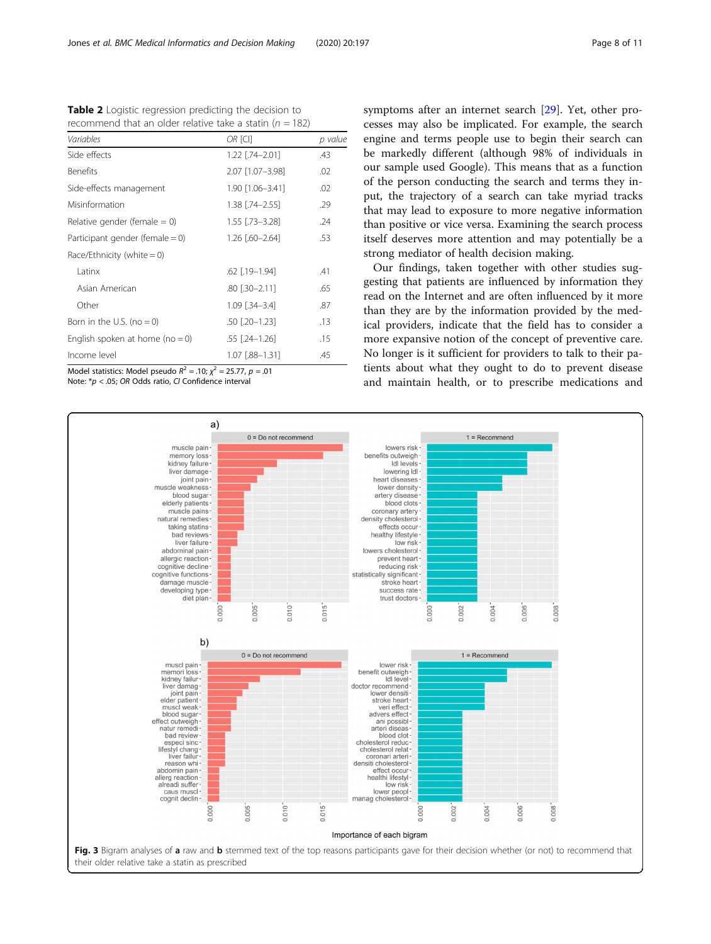| recommend that an older relative take a statin ( $n = 182$ ) |         |  |  |
|--------------------------------------------------------------|---------|--|--|
| OR ICII                                                      | p value |  |  |
| 1.22 [.74-2.01]                                              | .43     |  |  |
| 2.07 [1.07-3.98]                                             | .02     |  |  |
| 1.90 [1.06-3.41]                                             | .02     |  |  |
|                                                              |         |  |  |

Misinformation 29 Relative gender (female =  $0$ )  $1.55$   $[.73-3.28]$  .24 Participant gender (female = 0)  $1.26$  [.60–2.64] .53

 $\begin{array}{|c|c|c|c|c|}\n\hline\n1 \text{ at } & & & \text{62 } [19-1.94] \end{array}$  41 Asian American .80 [.30–2.11] .65

<span id="page-7-0"></span>Table 2 Logistic regression predicting the decision to

| Other                              | $1.09$ $[.34 - 3.4]$ | .87 |
|------------------------------------|----------------------|-----|
| Born in the U.S. (no $= 0$ )       | $.50$ $[.20 - 1.23]$ | .13 |
| English spoken at home (no $= 0$ ) | $.55$ $-.24-1.26$    | .15 |
| Income level                       | 1.07 [.88-1.31]      | .45 |

Model statistics: Model pseudo  $R^2 = .10$ ;  $\chi^2 = 25.77$ ,  $p = .01$ Note: \*p < .05; OR Odds ratio, CI Confidence interval

Race/Ethnicity (white  $= 0$ )

symptoms after an internet search [\[29](#page-10-0)]. Yet, other processes may also be implicated. For example, the search engine and terms people use to begin their search can be markedly different (although 98% of individuals in our sample used Google). This means that as a function of the person conducting the search and terms they input, the trajectory of a search can take myriad tracks that may lead to exposure to more negative information than positive or vice versa. Examining the search process itself deserves more attention and may potentially be a strong mediator of health decision making.

Our findings, taken together with other studies suggesting that patients are influenced by information they read on the Internet and are often influenced by it more than they are by the information provided by the medical providers, indicate that the field has to consider a more expansive notion of the concept of preventive care. No longer is it sufficient for providers to talk to their patients about what they ought to do to prevent disease and maintain health, or to prescribe medications and

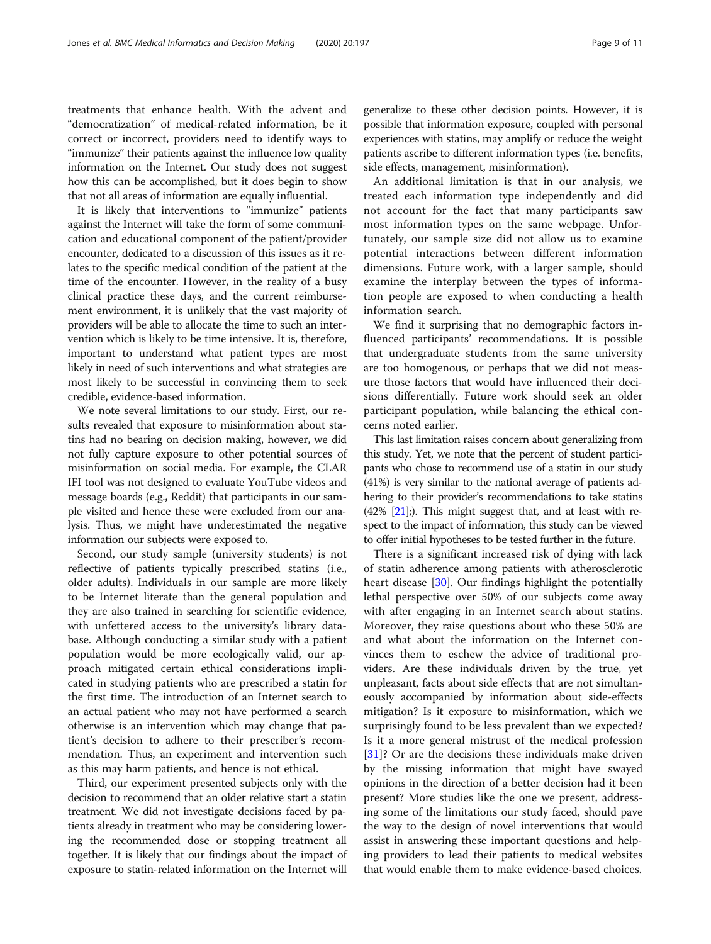treatments that enhance health. With the advent and "democratization" of medical-related information, be it correct or incorrect, providers need to identify ways to "immunize" their patients against the influence low quality information on the Internet. Our study does not suggest how this can be accomplished, but it does begin to show that not all areas of information are equally influential.

It is likely that interventions to "immunize" patients against the Internet will take the form of some communication and educational component of the patient/provider encounter, dedicated to a discussion of this issues as it relates to the specific medical condition of the patient at the time of the encounter. However, in the reality of a busy clinical practice these days, and the current reimbursement environment, it is unlikely that the vast majority of providers will be able to allocate the time to such an intervention which is likely to be time intensive. It is, therefore, important to understand what patient types are most likely in need of such interventions and what strategies are most likely to be successful in convincing them to seek credible, evidence-based information.

We note several limitations to our study. First, our results revealed that exposure to misinformation about statins had no bearing on decision making, however, we did not fully capture exposure to other potential sources of misinformation on social media. For example, the CLAR IFI tool was not designed to evaluate YouTube videos and message boards (e.g., Reddit) that participants in our sample visited and hence these were excluded from our analysis. Thus, we might have underestimated the negative information our subjects were exposed to.

Second, our study sample (university students) is not reflective of patients typically prescribed statins (i.e., older adults). Individuals in our sample are more likely to be Internet literate than the general population and they are also trained in searching for scientific evidence, with unfettered access to the university's library database. Although conducting a similar study with a patient population would be more ecologically valid, our approach mitigated certain ethical considerations implicated in studying patients who are prescribed a statin for the first time. The introduction of an Internet search to an actual patient who may not have performed a search otherwise is an intervention which may change that patient's decision to adhere to their prescriber's recommendation. Thus, an experiment and intervention such as this may harm patients, and hence is not ethical.

Third, our experiment presented subjects only with the decision to recommend that an older relative start a statin treatment. We did not investigate decisions faced by patients already in treatment who may be considering lowering the recommended dose or stopping treatment all together. It is likely that our findings about the impact of exposure to statin-related information on the Internet will generalize to these other decision points. However, it is possible that information exposure, coupled with personal experiences with statins, may amplify or reduce the weight patients ascribe to different information types (i.e. benefits, side effects, management, misinformation).

An additional limitation is that in our analysis, we treated each information type independently and did not account for the fact that many participants saw most information types on the same webpage. Unfortunately, our sample size did not allow us to examine potential interactions between different information dimensions. Future work, with a larger sample, should examine the interplay between the types of information people are exposed to when conducting a health information search.

We find it surprising that no demographic factors influenced participants' recommendations. It is possible that undergraduate students from the same university are too homogenous, or perhaps that we did not measure those factors that would have influenced their decisions differentially. Future work should seek an older participant population, while balancing the ethical concerns noted earlier.

This last limitation raises concern about generalizing from this study. Yet, we note that the percent of student participants who chose to recommend use of a statin in our study (41%) is very similar to the national average of patients adhering to their provider's recommendations to take statins  $(42\%$   $[21]$  $[21]$  $[21]$ ;). This might suggest that, and at least with respect to the impact of information, this study can be viewed to offer initial hypotheses to be tested further in the future.

There is a significant increased risk of dying with lack of statin adherence among patients with atherosclerotic heart disease [\[30](#page-10-0)]. Our findings highlight the potentially lethal perspective over 50% of our subjects come away with after engaging in an Internet search about statins. Moreover, they raise questions about who these 50% are and what about the information on the Internet convinces them to eschew the advice of traditional providers. Are these individuals driven by the true, yet unpleasant, facts about side effects that are not simultaneously accompanied by information about side-effects mitigation? Is it exposure to misinformation, which we surprisingly found to be less prevalent than we expected? Is it a more general mistrust of the medical profession [[31\]](#page-10-0)? Or are the decisions these individuals make driven by the missing information that might have swayed opinions in the direction of a better decision had it been present? More studies like the one we present, addressing some of the limitations our study faced, should pave the way to the design of novel interventions that would assist in answering these important questions and helping providers to lead their patients to medical websites that would enable them to make evidence-based choices.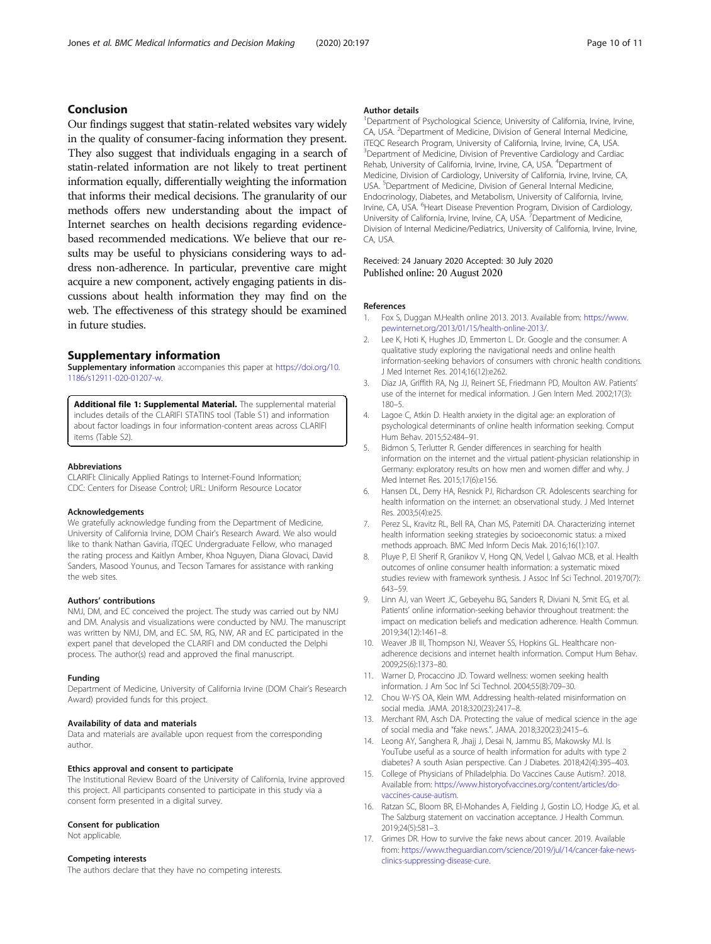#### <span id="page-9-0"></span>Conclusion

Our findings suggest that statin-related websites vary widely in the quality of consumer-facing information they present. They also suggest that individuals engaging in a search of statin-related information are not likely to treat pertinent information equally, differentially weighting the information that informs their medical decisions. The granularity of our methods offers new understanding about the impact of Internet searches on health decisions regarding evidencebased recommended medications. We believe that our results may be useful to physicians considering ways to address non-adherence. In particular, preventive care might acquire a new component, actively engaging patients in discussions about health information they may find on the web. The effectiveness of this strategy should be examined in future studies.

#### Supplementary information

Supplementary information accompanies this paper at [https://doi.org/10.](https://doi.org/10.1186/s12911-020-01207-w) [1186/s12911-020-01207-w](https://doi.org/10.1186/s12911-020-01207-w).

Additional file 1: Supplemental Material. The supplemental material includes details of the CLARIFI STATINS tool (Table S1) and information about factor loadings in four information-content areas across CLARIFI items (Table S2).

#### Abbreviations

CLARIFI: Clinically Applied Ratings to Internet-Found Information; CDC: Centers for Disease Control; URL: Uniform Resource Locator

#### Acknowledgements

We gratefully acknowledge funding from the Department of Medicine, University of California Irvine, DOM Chair's Research Award. We also would like to thank Nathan Gaviria, iTQEC Undergraduate Fellow, who managed the rating process and Kaitlyn Amber, Khoa Nguyen, Diana Glovaci, David Sanders, Masood Younus, and Tecson Tamares for assistance with ranking the web sites.

#### Authors' contributions

NMJ, DM, and EC conceived the project. The study was carried out by NMJ and DM. Analysis and visualizations were conducted by NMJ. The manuscript was written by NMJ, DM, and EC. SM, RG, NW, AR and EC participated in the expert panel that developed the CLARIFI and DM conducted the Delphi process. The author(s) read and approved the final manuscript.

#### Funding

Department of Medicine, University of California Irvine (DOM Chair's Research Award) provided funds for this project.

#### Availability of data and materials

Data and materials are available upon request from the corresponding author.

#### Ethics approval and consent to participate

The Institutional Review Board of the University of California, Irvine approved this project. All participants consented to participate in this study via a consent form presented in a digital survey.

#### Consent for publication

Not applicable.

#### Competing interests

The authors declare that they have no competing interests.

#### Author details

<sup>1</sup>Department of Psychological Science, University of California, Irvine, Irvine, CA, USA. <sup>2</sup> Department of Medicine, Division of General Internal Medicine, iTEQC Research Program, University of California, Irvine, Irvine, CA, USA. <sup>3</sup>Department of Medicine, Division of Preventive Cardiology and Cardiac Rehab, University of California, Irvine, Irvine, CA, USA. <sup>4</sup>Department of Medicine, Division of Cardiology, University of California, Irvine, Irvine, CA, USA.<sup>5</sup> Department of Medicine, Division of General Internal Medicine Endocrinology, Diabetes, and Metabolism, University of California, Irvine, Irvine, CA, USA. <sup>6</sup> Heart Disease Prevention Program, Division of Cardiology, University of California, Irvine, Irvine, CA, USA.<sup>7</sup> Department of Medicine, Division of Internal Medicine/Pediatrics, University of California, Irvine, Irvine, CA, USA.

Received: 24 January 2020 Accepted: 30 July 2020 Published online: 20 August 2020

#### References

- 1. Fox S, Duggan M.Health online 2013. 2013. Available from: [https://www.](https://www.pewinternet.org/2013/01/15/health-online-2013/) [pewinternet.org/2013/01/15/health-online-2013/](https://www.pewinternet.org/2013/01/15/health-online-2013/).
- Lee K, Hoti K, Hughes JD, Emmerton L. Dr. Google and the consumer: A qualitative study exploring the navigational needs and online health information-seeking behaviors of consumers with chronic health conditions. J Med Internet Res. 2014;16(12):e262.
- 3. Diaz JA, Griffith RA, Ng JJ, Reinert SE, Friedmann PD, Moulton AW. Patients' use of the internet for medical information. J Gen Intern Med. 2002;17(3): 180–5.
- 4. Lagoe C, Atkin D. Health anxiety in the digital age: an exploration of psychological determinants of online health information seeking. Comput Hum Behav. 2015;52:484–91.
- 5. Bidmon S, Terlutter R. Gender differences in searching for health information on the internet and the virtual patient-physician relationship in Germany: exploratory results on how men and women differ and why. J Med Internet Res. 2015;17(6):e156.
- 6. Hansen DL, Derry HA, Resnick PJ, Richardson CR. Adolescents searching for health information on the internet: an observational study. J Med Internet Res. 2003;5(4):e25.
- 7. Perez SL, Kravitz RL, Bell RA, Chan MS, Paterniti DA. Characterizing internet health information seeking strategies by socioeconomic status: a mixed methods approach. BMC Med Inform Decis Mak. 2016;16(1):107.
- 8. Pluye P, El Sherif R, Granikov V, Hong QN, Vedel I, Galvao MCB, et al. Health outcomes of online consumer health information: a systematic mixed studies review with framework synthesis. J Assoc Inf Sci Technol. 2019;70(7): 643–59.
- 9. Linn AJ, van Weert JC, Gebeyehu BG, Sanders R, Diviani N, Smit EG, et al. Patients' online information-seeking behavior throughout treatment: the impact on medication beliefs and medication adherence. Health Commun. 2019;34(12):1461–8.
- 10. Weaver JB III, Thompson NJ, Weaver SS, Hopkins GL. Healthcare nonadherence decisions and internet health information. Comput Hum Behav. 2009;25(6):1373–80.
- 11. Warner D, Procaccino JD. Toward wellness: women seeking health information. J Am Soc Inf Sci Technol. 2004;55(8):709–30.
- 12. Chou W-YS OA, Klein WM. Addressing health-related misinformation on social media. JAMA. 2018;320(23):2417–8.
- 13. Merchant RM, Asch DA. Protecting the value of medical science in the age of social media and "fake news.". JAMA. 2018;320(23):2415–6.
- 14. Leong AY, Sanghera R, Jhajj J, Desai N, Jammu BS, Makowsky MJ. Is YouTube useful as a source of health information for adults with type 2 diabetes? A south Asian perspective. Can J Diabetes. 2018;42(4):395–403.
- 15. College of Physicians of Philadelphia. Do Vaccines Cause Autism?. 2018. Available from: [https://www.historyofvaccines.org/content/articles/do](https://www.historyofvaccines.org/content/articles/do-vaccines-cause-autism)[vaccines-cause-autism.](https://www.historyofvaccines.org/content/articles/do-vaccines-cause-autism)
- 16. Ratzan SC, Bloom BR, El-Mohandes A, Fielding J, Gostin LO, Hodge JG, et al. The Salzburg statement on vaccination acceptance. J Health Commun. 2019;24(5):581–3.
- 17. Grimes DR. How to survive the fake news about cancer. 2019. Available from: [https://www.theguardian.com/science/2019/jul/14/cancer-fake-news](https://www.theguardian.com/science/2019/jul/14/cancer-fake-news-clinics-suppressing-disease-cure)[clinics-suppressing-disease-cure.](https://www.theguardian.com/science/2019/jul/14/cancer-fake-news-clinics-suppressing-disease-cure)